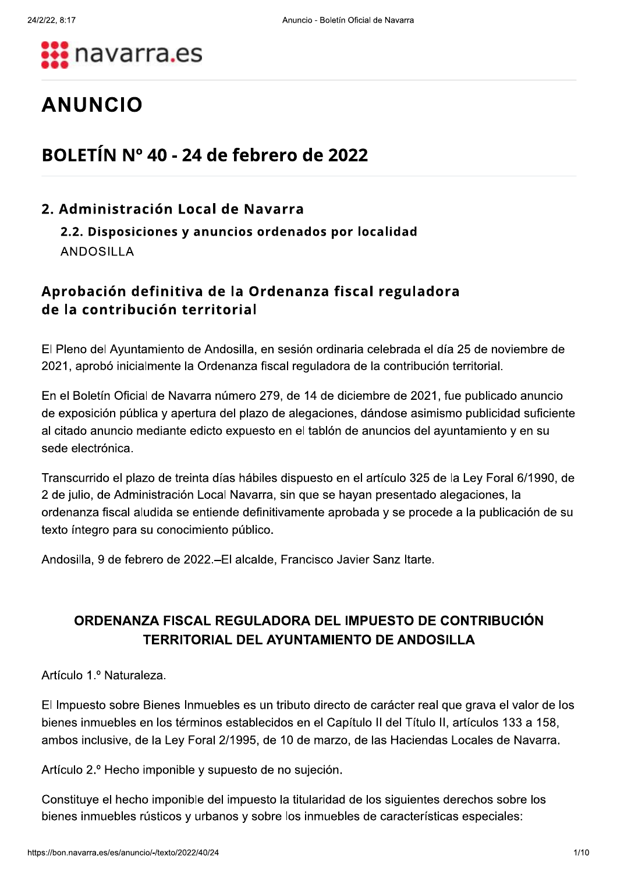

# **ANUNCIO**

## BOLETÍN Nº 40 - 24 de febrero de 2022

#### 2. Administración Local de Navarra

#### 2.2. Disposiciones y anuncios ordenados por localidad **ANDOSILLA**

### Aprobación definitiva de la Ordenanza fiscal reguladora de la contribución territorial

El Pleno del Ayuntamiento de Andosilla, en sesión ordinaria celebrada el día 25 de noviembre de 2021, aprobó inicialmente la Ordenanza fiscal reguladora de la contribución territorial.

En el Boletín Oficial de Navarra número 279, de 14 de diciembre de 2021, fue publicado anuncio de exposición pública y apertura del plazo de alegaciones, dándose asimismo publicidad suficiente al citado anuncio mediante edicto expuesto en el tablón de anuncios del ayuntamiento y en su sede electrónica.

Transcurrido el plazo de treinta días hábiles dispuesto en el artículo 325 de la Ley Foral 6/1990, de 2 de julio, de Administración Local Navarra, sin que se hayan presentado alegaciones, la ordenanza fiscal aludida se entiende definitivamente aprobada y se procede a la publicación de su texto íntegro para su conocimiento público.

Andosilla, 9 de febrero de 2022.-El alcalde, Francisco Javier Sanz Itarte.

### ORDENANZA FISCAL REGULADORA DEL IMPUESTO DE CONTRIBUCIÓN **TERRITORIAL DEL AYUNTAMIENTO DE ANDOSILLA**

Artículo 1.º Naturaleza.

El Impuesto sobre Bienes Inmuebles es un tributo directo de carácter real que grava el valor de los bienes inmuebles en los términos establecidos en el Capítulo II del Título II, artículos 133 a 158, ambos inclusive, de la Ley Foral 2/1995, de 10 de marzo, de las Haciendas Locales de Navarra.

Artículo 2.º Hecho imponible y supuesto de no sujeción.

Constituye el hecho imponible del impuesto la titularidad de los siguientes derechos sobre los bienes inmuebles rústicos y urbanos y sobre los inmuebles de características especiales: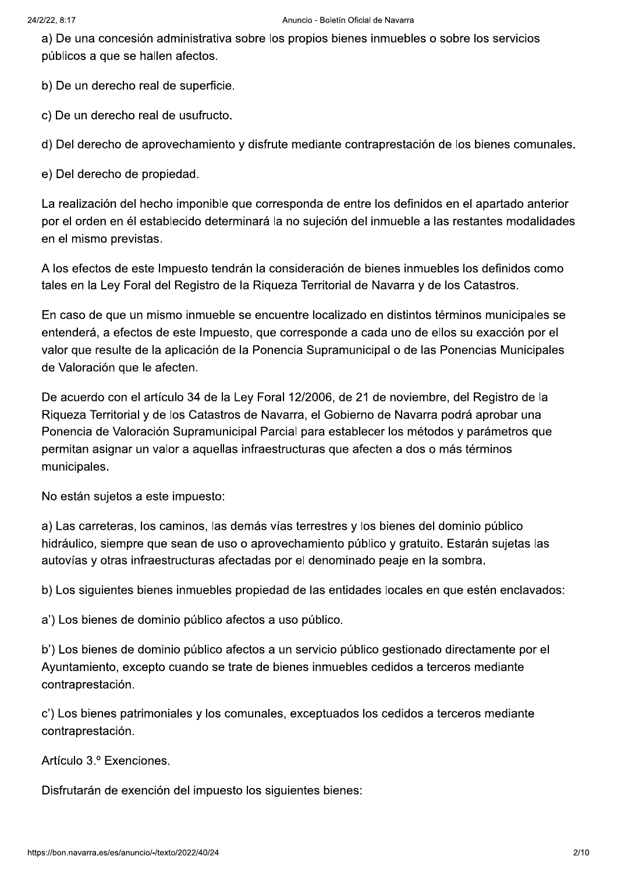a) De una concesión administrativa sobre los propios bienes inmuebles o sobre los servicios públicos a que se hallen afectos.

b) De un derecho real de superficie.

c) De un derecho real de usufructo.

d) Del derecho de aprovechamiento y disfrute mediante contraprestación de los bienes comunales.

e) Del derecho de propiedad.

La realización del hecho imponible que corresponda de entre los definidos en el apartado anterior por el orden en él establecido determinará la no sujeción del inmueble a las restantes modalidades en el mismo previstas.

A los efectos de este Impuesto tendrán la consideración de bienes inmuebles los definidos como tales en la Ley Foral del Registro de la Riqueza Territorial de Navarra y de los Catastros.

En caso de que un mismo inmueble se encuentre localizado en distintos términos municipales se entenderá, a efectos de este Impuesto, que corresponde a cada uno de ellos su exacción por el valor que resulte de la aplicación de la Ponencia Supramunicipal o de las Ponencias Municipales de Valoración que le afecten.

De acuerdo con el artículo 34 de la Ley Foral 12/2006, de 21 de noviembre, del Registro de la Riqueza Territorial y de los Catastros de Navarra, el Gobierno de Navarra podrá aprobar una Ponencia de Valoración Supramunicipal Parcial para establecer los métodos y parámetros que permitan asignar un valor a aquellas infraestructuras que afecten a dos o más términos municipales.

No están sujetos a este impuesto:

a) Las carreteras, los caminos, las demás vías terrestres y los bienes del dominio público hidráulico, siempre que sean de uso o aprovechamiento público y gratuito. Estarán sujetas las autovías y otras infraestructuras afectadas por el denominado peaje en la sombra.

b) Los siguientes bienes inmuebles propiedad de las entidades locales en que estén enclavados:

a') Los bienes de dominio público afectos a uso público.

b') Los bienes de dominio público afectos a un servicio público gestionado directamente por el Ayuntamiento, excepto cuando se trate de bienes inmuebles cedidos a terceros mediante contraprestación.

c') Los bienes patrimoniales y los comunales, exceptuados los cedidos a terceros mediante contraprestación.

Artículo 3.º Exenciones.

Disfrutarán de exención del impuesto los siguientes bienes: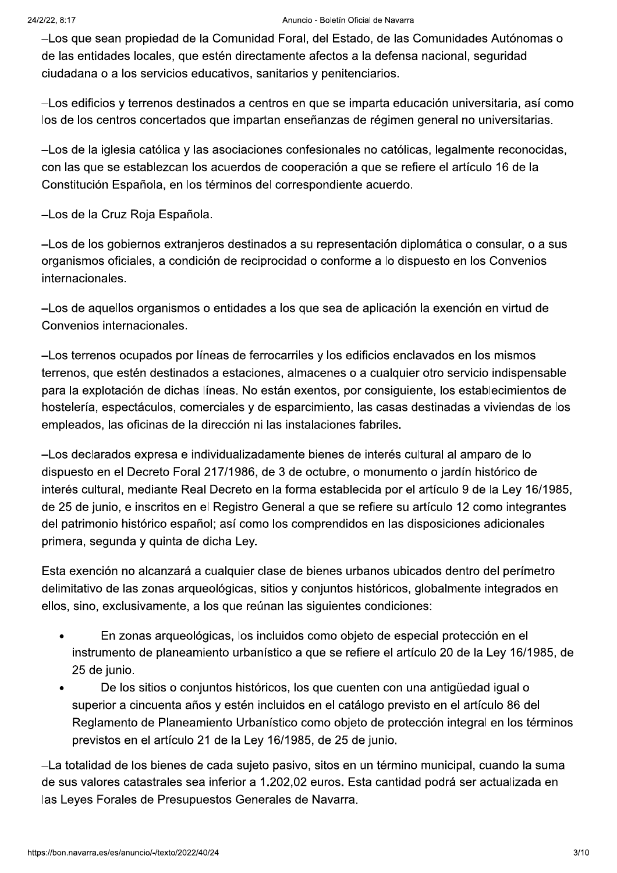#### Anuncio - Boletín Oficial de Navarra

-Los que sean propiedad de la Comunidad Foral, del Estado, de las Comunidades Autónomas o de las entidades locales, que estén directamente afectos a la defensa nacional, seguridad ciudadana o a los servicios educativos, sanitarios y penitenciarios.

-Los edificios y terrenos destinados a centros en que se imparta educación universitaria, así como los de los centros concertados que impartan enseñanzas de régimen general no universitarias.

-Los de la iglesia católica y las asociaciones confesionales no católicas, legalmente reconocidas, con las que se establezcan los acuerdos de cooperación a que se refiere el artículo 16 de la Constitución Española, en los términos del correspondiente acuerdo.

-Los de la Cruz Roja Española.

-Los de los gobiernos extranjeros destinados a su representación diplomática o consular, o a sus organismos oficiales, a condición de reciprocidad o conforme a lo dispuesto en los Convenios internacionales.

-Los de aquellos organismos o entidades a los que sea de aplicación la exención en virtud de Convenios internacionales.

-Los terrenos ocupados por líneas de ferrocarriles y los edificios enclavados en los mismos terrenos, que estén destinados a estaciones, almacenes o a cualquier otro servicio indispensable para la explotación de dichas líneas. No están exentos, por consiguiente, los establecimientos de hostelería, espectáculos, comerciales y de esparcimiento, las casas destinadas a viviendas de los empleados, las oficinas de la dirección ni las instalaciones fabriles.

-Los declarados expresa e individualizadamente bienes de interés cultural al amparo de lo dispuesto en el Decreto Foral 217/1986, de 3 de octubre, o monumento o jardín histórico de interés cultural, mediante Real Decreto en la forma establecida por el artículo 9 de la Ley 16/1985, de 25 de junio, e inscritos en el Registro General a que se refiere su artículo 12 como integrantes del patrimonio histórico español; así como los comprendidos en las disposiciones adicionales primera, segunda y quinta de dicha Ley.

Esta exención no alcanzará a cualquier clase de bienes urbanos ubicados dentro del perímetro delimitativo de las zonas arqueológicas, sitios y conjuntos históricos, globalmente integrados en ellos, sino, exclusivamente, a los que reúnan las siguientes condiciones:

- En zonas arqueológicas, los incluidos como objeto de especial protección en el  $\bullet$ instrumento de planeamiento urbanístico a que se refiere el artículo 20 de la Ley 16/1985, de 25 de junio.
- De los sitios o conjuntos históricos, los que cuenten con una antigüedad igual o  $\bullet$ superior a cincuenta años y estén incluidos en el catálogo previsto en el artículo 86 del Reglamento de Planeamiento Urbanístico como objeto de protección integral en los términos previstos en el artículo 21 de la Ley 16/1985, de 25 de junio.

-La totalidad de los bienes de cada sujeto pasivo, sitos en un término municipal, cuando la suma de sus valores catastrales sea inferior a 1.202.02 euros. Esta cantidad podrá ser actualizada en las Leyes Forales de Presupuestos Generales de Navarra.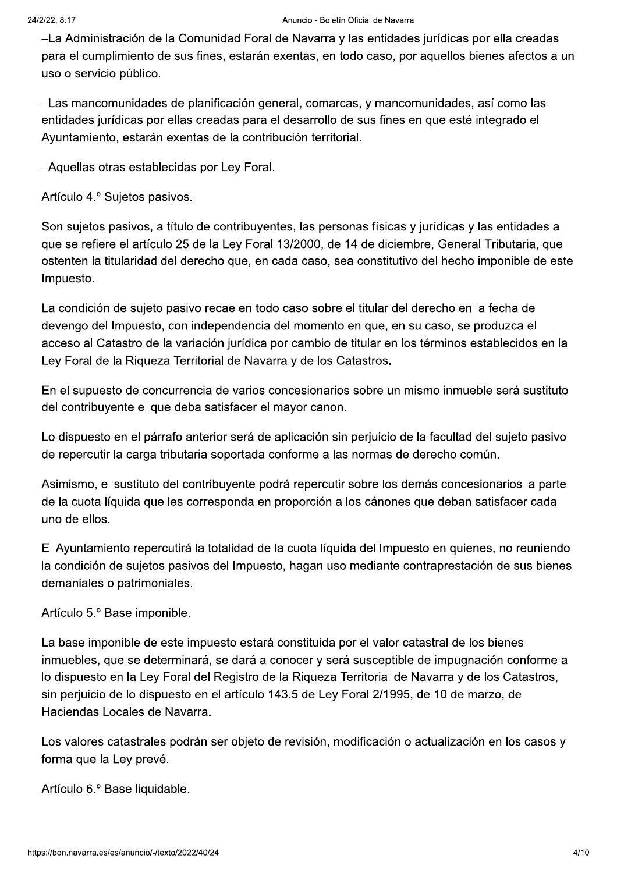-La Administración de la Comunidad Foral de Navarra y las entidades jurídicas por ella creadas para el cumplimiento de sus fines, estarán exentas, en todo caso, por aquellos bienes afectos a un uso o servicio público.

-Las mancomunidades de planificación general, comarcas, y mancomunidades, así como las entidades jurídicas por ellas creadas para el desarrollo de sus fines en que esté integrado el Ayuntamiento, estarán exentas de la contribución territorial.

-Aquellas otras establecidas por Ley Foral.

Artículo 4.º Sujetos pasivos.

Son sujetos pasivos, a título de contribuyentes, las personas físicas y jurídicas y las entidades a que se refiere el artículo 25 de la Ley Foral 13/2000, de 14 de diciembre, General Tributaria, que ostenten la titularidad del derecho que, en cada caso, sea constitutivo del hecho imponible de este Impuesto.

La condición de sujeto pasivo recae en todo caso sobre el titular del derecho en la fecha de devengo del Impuesto, con independencia del momento en que, en su caso, se produzca el acceso al Catastro de la variación jurídica por cambio de titular en los términos establecidos en la Ley Foral de la Rigueza Territorial de Navarra y de los Catastros.

En el supuesto de concurrencia de varios concesionarios sobre un mismo inmueble será sustituto del contribuyente el que deba satisfacer el mayor canon.

Lo dispuesto en el párrafo anterior será de aplicación sin perjuicio de la facultad del sujeto pasivo de repercutir la carga tributaria soportada conforme a las normas de derecho común.

Asimismo, el sustituto del contribuyente podrá repercutir sobre los demás concesionarios la parte de la cuota líquida que les corresponda en proporción a los cánones que deban satisfacer cada uno de ellos.

El Ayuntamiento repercutirá la totalidad de la cuota líquida del Impuesto en quienes, no reuniendo la condición de sujetos pasivos del Impuesto, hagan uso mediante contraprestación de sus bienes demaniales o patrimoniales.

Artículo 5.º Base imponible.

La base imponible de este impuesto estará constituida por el valor catastral de los bienes inmuebles, que se determinará, se dará a conocer y será susceptible de impugnación conforme a lo dispuesto en la Ley Foral del Registro de la Rigueza Territorial de Navarra y de los Catastros, sin perjuicio de lo dispuesto en el artículo 143.5 de Ley Foral 2/1995, de 10 de marzo, de Haciendas Locales de Navarra.

Los valores catastrales podrán ser objeto de revisión, modificación o actualización en los casos y forma que la Ley prevé.

Artículo 6.º Base liquidable.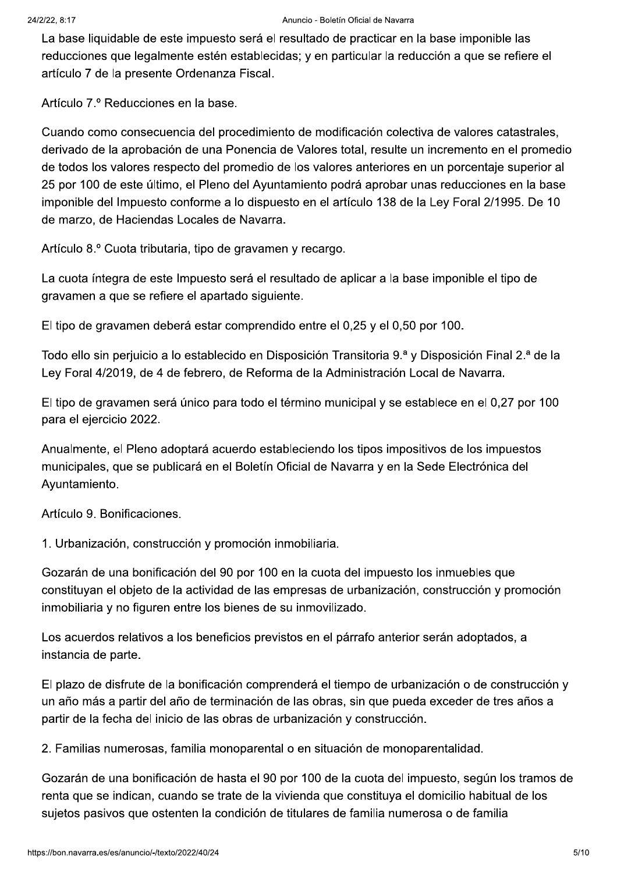La base liquidable de este impuesto será el resultado de practicar en la base imponible las reducciones que legalmente estén establecidas; y en particular la reducción a que se refiere el artículo 7 de la presente Ordenanza Fiscal.

Artículo 7.º Reducciones en la base.

Cuando como consecuencia del procedimiento de modificación colectiva de valores catastrales. derivado de la aprobación de una Ponencia de Valores total, resulte un incremento en el promedio de todos los valores respecto del promedio de los valores anteriores en un porcentaje superior al 25 por 100 de este último, el Pleno del Ayuntamiento podrá aprobar unas reducciones en la base imponible del Impuesto conforme a lo dispuesto en el artículo 138 de la Ley Foral 2/1995. De 10 de marzo, de Haciendas Locales de Navarra.

Artículo 8.º Cuota tributaria, tipo de gravamen y recargo.

La cuota íntegra de este Impuesto será el resultado de aplicar a la base imponible el tipo de gravamen a que se refiere el apartado siguiente.

El tipo de gravamen deberá estar comprendido entre el 0.25 y el 0.50 por 100.

Todo ello sin perjuicio a lo establecido en Disposición Transitoria 9.ª y Disposición Final 2.ª de la Ley Foral 4/2019, de 4 de febrero, de Reforma de la Administración Local de Navarra.

El tipo de gravamen será único para todo el término municipal y se establece en el 0,27 por 100 para el ejercicio 2022.

Anualmente, el Pleno adoptará acuerdo estableciendo los tipos impositivos de los impuestos municipales, que se publicará en el Boletín Oficial de Navarra y en la Sede Electrónica del Ayuntamiento.

Artículo 9. Bonificaciones.

1. Urbanización, construcción y promoción inmobiliaria.

Gozarán de una bonificación del 90 por 100 en la cuota del impuesto los inmuebles que constituvan el objeto de la actividad de las empresas de urbanización, construcción y promoción inmobiliaria y no figuren entre los bienes de su inmovilizado.

Los acuerdos relativos a los beneficios previstos en el párrafo anterior serán adoptados, a instancia de parte.

El plazo de disfrute de la bonificación comprenderá el tiempo de urbanización o de construcción y un año más a partir del año de terminación de las obras, sin que pueda exceder de tres años a partir de la fecha del inicio de las obras de urbanización y construcción.

2. Familias numerosas, familia monoparental o en situación de monoparentalidad.

Gozarán de una bonificación de hasta el 90 por 100 de la cuota del impuesto, según los tramos de renta que se indican, cuando se trate de la vivienda que constituya el domicilio habitual de los sujetos pasivos que ostenten la condición de titulares de familia numerosa o de familia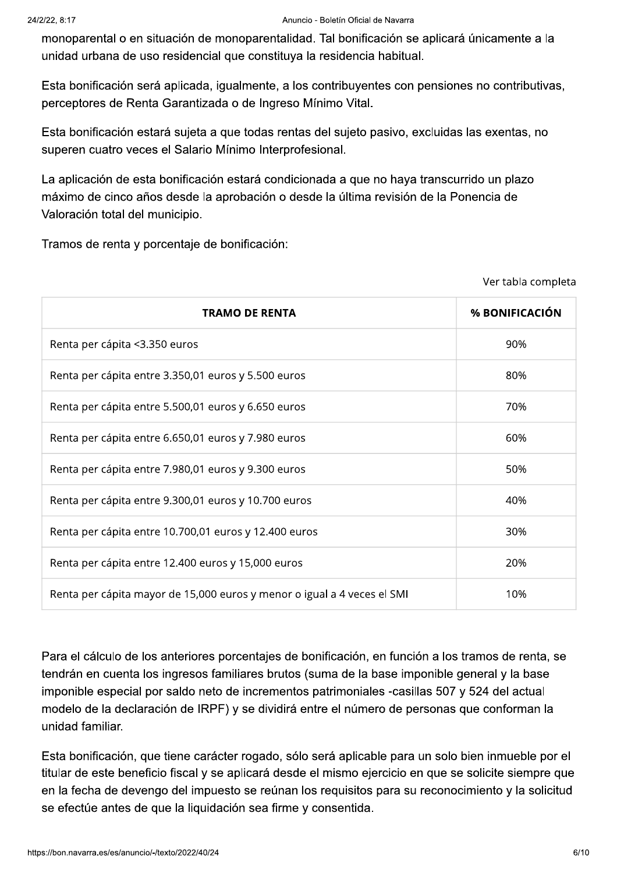monoparental o en situación de monoparentalidad. Tal bonificación se aplicará únicamente a la unidad urbana de uso residencial que constituya la residencia habitual.

Esta bonificación será aplicada, igualmente, a los contribuventes con pensiones no contributivas, perceptores de Renta Garantizada o de Ingreso Mínimo Vital.

Esta bonificación estará sujeta a que todas rentas del sujeto pasivo, excluidas las exentas, no superen cuatro veces el Salario Mínimo Interprofesional.

La aplicación de esta bonificación estará condicionada a que no haya transcurrido un plazo máximo de cinco años desde la aprobación o desde la última revisión de la Ponencia de Valoración total del municipio.

Tramos de renta y porcentaje de bonificación:

| <b>TRAMO DE RENTA</b>                                                   | % BONIFICACIÓN |
|-------------------------------------------------------------------------|----------------|
| Renta per cápita <3.350 euros                                           | 90%            |
| Renta per cápita entre 3.350,01 euros y 5.500 euros                     | 80%            |
| Renta per cápita entre 5.500,01 euros y 6.650 euros                     | 70%            |
| Renta per cápita entre 6.650,01 euros y 7.980 euros                     | 60%            |
| Renta per cápita entre 7.980,01 euros y 9.300 euros                     | 50%            |
| Renta per cápita entre 9.300,01 euros y 10.700 euros                    | 40%            |
| Renta per cápita entre 10.700,01 euros y 12.400 euros                   | 30%            |
| Renta per cápita entre 12.400 euros y 15,000 euros                      | 20%            |
| Renta per cápita mayor de 15,000 euros y menor o igual a 4 veces el SMI | 10%            |

Para el cálculo de los anteriores porcentajes de bonificación, en función a los tramos de renta, se tendrán en cuenta los ingresos familiares brutos (suma de la base imponible general y la base imponible especial por saldo neto de incrementos patrimoniales -casillas 507 y 524 del actual modelo de la declaración de IRPF) y se dividirá entre el número de personas que conforman la unidad familiar.

Esta bonificación, que tiene carácter rogado, sólo será aplicable para un solo bien inmueble por el titular de este beneficio fiscal y se aplicará desde el mismo ejercicio en que se solicite siempre que en la fecha de devengo del impuesto se reúnan los requisitos para su reconocimiento y la solicitud se efectúe antes de que la liquidación sea firme y consentida.

Ver tabla completa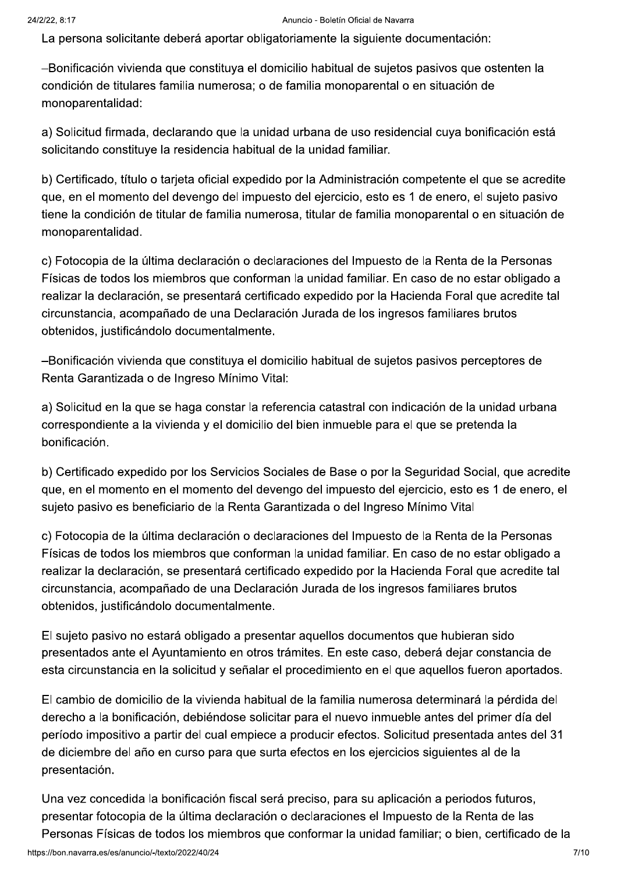La persona solicitante deberá aportar obligatoriamente la siguiente documentación:

-Bonificación vivienda que constituya el domicilio habitual de sujetos pasivos que ostenten la condición de titulares familia numerosa: o de familia monoparental o en situación de monoparentalidad:

a) Solicitud firmada, declarando que la unidad urbana de uso residencial cuya bonificación está solicitando constituye la residencia habitual de la unidad familiar.

b) Certificado, título o tarjeta oficial expedido por la Administración competente el que se acredite que, en el momento del devengo del impuesto del ejercicio, esto es 1 de enero, el sujeto pasivo tiene la condición de titular de familia numerosa, titular de familia monoparental o en situación de monoparentalidad.

c) Fotocopia de la última declaración o declaraciones del Impuesto de la Renta de la Personas Físicas de todos los miembros que conforman la unidad familiar. En caso de no estar obligado a realizar la declaración, se presentará certificado expedido por la Hacienda Foral que acredite tal circunstancia, acompañado de una Declaración Jurada de los ingresos familiares brutos obtenidos, justificándolo documentalmente.

-Bonificación vivienda que constituva el domicilio habitual de sujetos pasivos perceptores de Renta Garantizada o de Ingreso Mínimo Vital:

a) Solicitud en la que se haga constar la referencia catastral con indicación de la unidad urbana correspondiente a la vivienda y el domicilio del bien inmueble para el que se pretenda la bonificación.

b) Certificado expedido por los Servicios Sociales de Base o por la Seguridad Social, que acredite que, en el momento en el momento del devengo del impuesto del ejercicio, esto es 1 de enero, el sujeto pasivo es beneficiario de la Renta Garantizada o del Ingreso Mínimo Vital

c) Fotocopia de la última declaración o declaraciones del Impuesto de la Renta de la Personas Físicas de todos los miembros que conforman la unidad familiar. En caso de no estar obligado a realizar la declaración, se presentará certificado expedido por la Hacienda Foral que acredite tal circunstancia, acompañado de una Declaración Jurada de los ingresos familiares brutos obtenidos, justificándolo documentalmente.

El sujeto pasivo no estará obligado a presentar aquellos documentos que hubieran sido presentados ante el Ayuntamiento en otros trámites. En este caso, deberá dejar constancia de esta circunstancia en la solicitud y señalar el procedimiento en el que aquellos fueron aportados.

El cambio de domicilio de la vivienda habitual de la familia numerosa determinará la pérdida del derecho a la bonificación, debiéndose solicitar para el nuevo inmueble antes del primer día del período impositivo a partir del cual empiece a producir efectos. Solicitud presentada antes del 31 de diciembre del año en curso para que surta efectos en los ejercicios siguientes al de la presentación.

Una vez concedida la bonificación fiscal será preciso, para su aplicación a periodos futuros, presentar fotocopia de la última declaración o declaraciones el Impuesto de la Renta de las Personas Físicas de todos los miembros que conformar la unidad familiar; o bien, certificado de la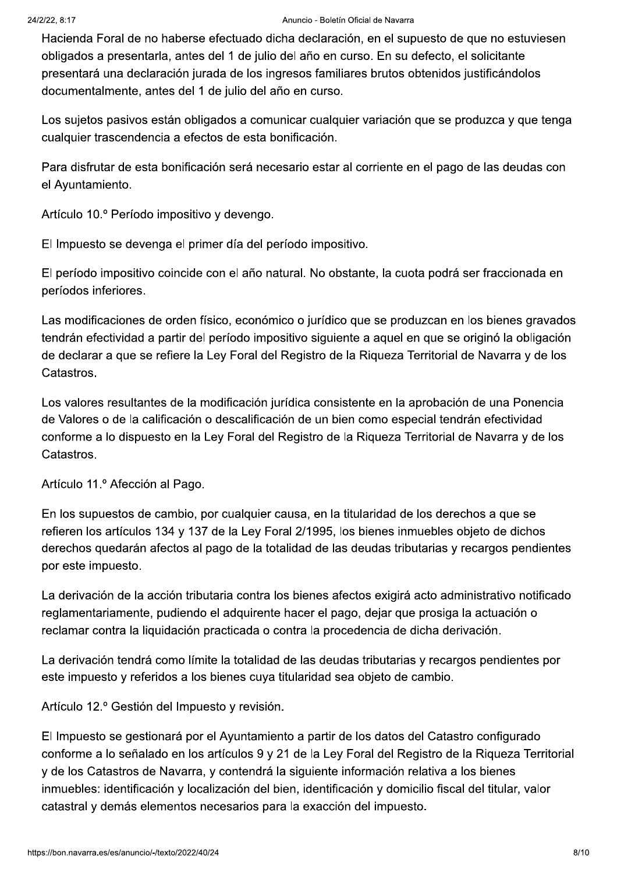Hacienda Foral de no haberse efectuado dicha declaración, en el supuesto de que no estuviesen obligados a presentarla, antes del 1 de julio del año en curso. En su defecto, el solicitante presentará una declaración jurada de los ingresos familiares brutos obtenidos justificándolos documentalmente, antes del 1 de julio del año en curso.

Los sujetos pasivos están obligados a comunicar cualquier variación que se produzca y que tenga cualquier trascendencia a efectos de esta bonificación.

Para disfrutar de esta bonificación será necesario estar al corriente en el pago de las deudas con el Ayuntamiento.

Artículo 10.º Período impositivo y devengo.

El Impuesto se devenga el primer día del período impositivo.

El período impositivo coincide con el año natural. No obstante, la cuota podrá ser fraccionada en períodos inferiores.

Las modificaciones de orden físico, económico o jurídico que se produzcan en los bienes gravados tendrán efectividad a partir del período impositivo siguiente a aquel en que se originó la obligación de declarar a que se refiere la Ley Foral del Registro de la Riqueza Territorial de Navarra y de los Catastros.

Los valores resultantes de la modificación jurídica consistente en la aprobación de una Ponencia de Valores o de la calificación o descalificación de un bien como especial tendrán efectividad conforme a lo dispuesto en la Ley Foral del Registro de la Rigueza Territorial de Navarra y de los Catastros.

Artículo 11.º Afección al Pago.

En los supuestos de cambio, por cualquier causa, en la titularidad de los derechos a que se refieren los artículos 134 y 137 de la Ley Foral 2/1995, los bienes inmuebles objeto de dichos derechos quedarán afectos al pago de la totalidad de las deudas tributarias y recargos pendientes por este impuesto.

La derivación de la acción tributaria contra los bienes afectos exigirá acto administrativo notificado reglamentariamente, pudiendo el adquirente hacer el pago, dejar que prosiga la actuación o reclamar contra la liquidación practicada o contra la procedencia de dicha derivación.

La derivación tendrá como límite la totalidad de las deudas tributarias y recargos pendientes por este impuesto y referidos a los bienes cuya titularidad sea objeto de cambio.

Artículo 12.º Gestión del Impuesto y revisión.

El Impuesto se gestionará por el Ayuntamiento a partir de los datos del Catastro configurado conforme a lo señalado en los artículos 9 y 21 de la Ley Foral del Registro de la Riqueza Territorial y de los Catastros de Navarra, y contendrá la siguiente información relativa a los bienes inmuebles: identificación y localización del bien, identificación y domicilio fiscal del titular, valor catastral y demás elementos necesarios para la exacción del impuesto.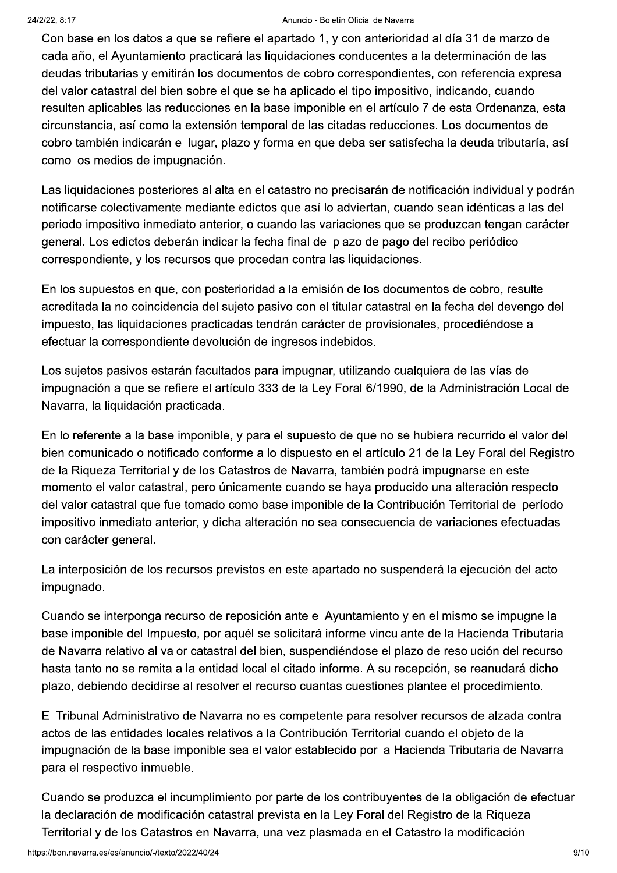#### Anuncio - Boletín Oficial de Navarra

Con base en los datos a que se refiere el apartado 1, y con anterioridad al día 31 de marzo de cada año, el Ayuntamiento practicará las liguidaciones conducentes a la determinación de las deudas tributarias y emitirán los documentos de cobro correspondientes, con referencia expresa del valor catastral del bien sobre el que se ha aplicado el tipo impositivo, indicando, cuando resulten aplicables las reducciones en la base imponible en el artículo 7 de esta Ordenanza, esta circunstancia, así como la extensión temporal de las citadas reducciones. Los documentos de cobro también indicarán el lugar, plazo y forma en que deba ser satisfecha la deuda tributaría, así como los medios de impugnación.

Las liguidaciones posteriores al alta en el catastro no precisarán de notificación individual y podrán notificarse colectivamente mediante edictos que así lo adviertan, cuando sean idénticas a las del periodo impositivo inmediato anterior, o cuando las variaciones que se produzcan tengan carácter general. Los edictos deberán indicar la fecha final del plazo de pago del recibo periódico correspondiente, y los recursos que procedan contra las liquidaciones.

En los supuestos en que, con posterioridad a la emisión de los documentos de cobro, resulte acreditada la no coincidencia del sujeto pasivo con el titular catastral en la fecha del devengo del impuesto, las liguidaciones practicadas tendrán carácter de provisionales, procediéndose a efectuar la correspondiente devolución de ingresos indebidos.

Los sujetos pasivos estarán facultados para impugnar, utilizando cualquiera de las vías de impugnación a que se refiere el artículo 333 de la Ley Foral 6/1990, de la Administración Local de Navarra, la liquidación practicada.

En lo referente a la base imponible, y para el supuesto de que no se hubiera recurrido el valor del bien comunicado o notificado conforme a lo dispuesto en el artículo 21 de la Ley Foral del Registro de la Riqueza Territorial y de los Catastros de Navarra, también podrá impugnarse en este momento el valor catastral, pero únicamente cuando se haya producido una alteración respecto del valor catastral que fue tomado como base imponible de la Contribución Territorial del período impositivo inmediato anterior, y dicha alteración no sea consecuencia de variaciones efectuadas con carácter general.

La interposición de los recursos previstos en este apartado no suspenderá la ejecución del acto impugnado.

Cuando se interponga recurso de reposición ante el Ayuntamiento y en el mismo se impugne la base imponible del Impuesto, por aquél se solicitará informe vinculante de la Hacienda Tributaria de Navarra relativo al valor catastral del bien, suspendiéndose el plazo de resolución del recurso hasta tanto no se remita a la entidad local el citado informe. A su recepción, se reanudará dicho plazo, debiendo decidirse al resolver el recurso cuantas cuestiones plantee el procedimiento.

El Tribunal Administrativo de Navarra no es competente para resolver recursos de alzada contra actos de las entidades locales relativos a la Contribución Territorial cuando el obieto de la impugnación de la base imponible sea el valor establecido por la Hacienda Tributaria de Navarra para el respectivo inmueble.

Cuando se produzca el incumplimiento por parte de los contribuyentes de la obligación de efectuar la declaración de modificación catastral prevista en la Ley Foral del Registro de la Rigueza Territorial y de los Catastros en Navarra, una vez plasmada en el Catastro la modificación